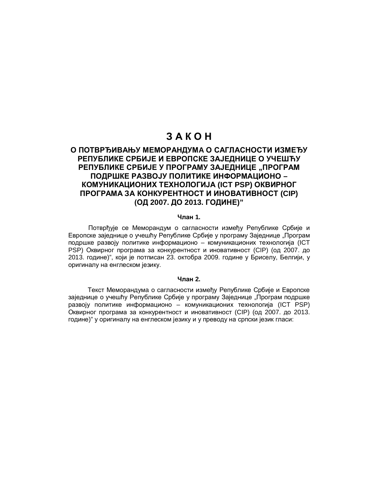# 3 A K O H

# **ɈɉɈɌȼɊȭɂȼȺȵɍɆȿɆɈɊȺɇȾɍɆA ɈɋȺȽɅȺɋɇɈɋɌɂɂɁɆȿȭɍ** РЕПУБЛИКЕ СРБИЈЕ И ЕВРОПСКЕ ЗАЈЕДНИЦЕ О УЧЕШЋУ РЕПУБЛИКЕ СРБИЈЕ У ПРОГРАМУ ЗАЈЕДНИЦЕ "ПРОГРАМ ПОДРШКЕ РАЗВОЈУ ПОЛИТИКЕ ИНФОРМАЦИОНО – **ɄɈɆɍɇɂɄȺɐɂɈɇɂɏɌȿɏɇɈɅɈȽɂȳȺ (ICT PSP) ɈɄȼɂɊɇɈȽ ɉɊɈȽɊȺɆȺɁȺɄɈɇɄɍɊȿɇɌɇɈɋɌɂɂɇɈȼȺɌɂȼɇɈɋɌ (CIP) ɈȾ 2007. ȾɈ 2013. ȽɈȾɂɇȿ)"**

#### **Члан 1.**

Потврђује се Меморандум о сагласности између Републике Србије и Европске заједнице о учешћу Републике Србије у програму Заједнице "Програм подршке развоју политике информационо – комуникационих технологија (ICT PSP) Оквирног програма за конкурентност и иновативност (CIP) (од 2007. до 2013. године)", који је потписан 23. октобра 2009. године у Бриселу, Белгији, у оригиналу на енглеском језику.

#### **Чпан 2.**

Текст Меморандума о сагласности између Републике Србије и Европске заједнице о учешћу Републике Србије у програму Заједнице "Програм подршке развоју политике информационо – комуникационих технологија (ICT PSP) Оквирног програма за конкурентност и иновативност (CIP) (од 2007. до 2013. године)" у оригиналу на енглеском језику и у преводу на српски језик гласи: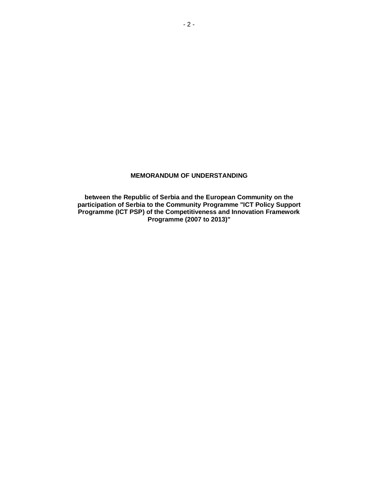### **MEMORANDUM OF UNDERSTANDING**

**between the Republic of Serbia and the European Community on the participation of Serbia to the Community Programme "ICT Policy Support Programme (ICT PSP) of the Competitiveness and Innovation Framework Programme (2007 to 2013)"**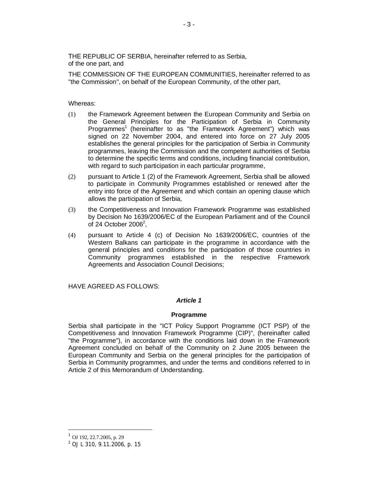THE REPUBLIC OF SERBIA, hereinafter referred to as Serbia, of the one part, and

THE COMMISSION OF THE EUROPEAN COMMUNITIES, hereinafter referred to as "the Commission", on behalf of the European Community, of the other part,

#### Whereas:

- (1) the Framework Agreement between the European Community and Serbia on the General Principles for the Participation of Serbia in Community Programmes<sup>1</sup> (hereinafter to as "the Framework Agreement") which was signed on 22 November 2004, and entered into force on 27 July 2005 establishes the general principles for the participation of Serbia in Community programmes, leaving the Commission and the competent authorities of Serbia to determine the specific terms and conditions, including financial contribution, with regard to such participation in each particular programme,
- (2) pursuant to Article 1 (2) of the Framework Agreement, Serbia shall be allowed to participate in Community Programmes established or renewed after the entry into force of the Agreement and which contain an opening clause which allows the participation of Serbia,
- (3) the Competitiveness and Innovation Framework Programme was established by Decision No 1639/2006/EC of the European Parliament and of the Council of 24 October 2006 $^2$ ,
- (4) pursuant to Article 4 (c) of Decision No 1639/2006/EC, countries of the Western Balkans can participate in the programme in accordance with the general principles and conditions for the participation of those countries in Community programmes established in the respective Framework Agreements and Association Council Decisions;

HAVE AGREED AS FOLLOWS:

### *Article 1*

#### **Programme**

Serbia shall participate in the "ICT Policy Support Programme (ICT PSP) of the Competitiveness and Innovation Framework Programme (CIP)", (hereinafter called "the Programme"), in accordance with the conditions laid down in the Framework Agreement concluded on behalf of the Community on 2 June 2005 between the European Community and Serbia on the general principles for the participation of Serbia in Community programmes, and under the terms and conditions referred to in Article 2 of this Memorandum of Understanding.

<sup>1</sup> OJ 192, 22.7.2005, p. 29

<sup>&</sup>lt;sup>2</sup> OJ L 310, 9.11.2006, p. 15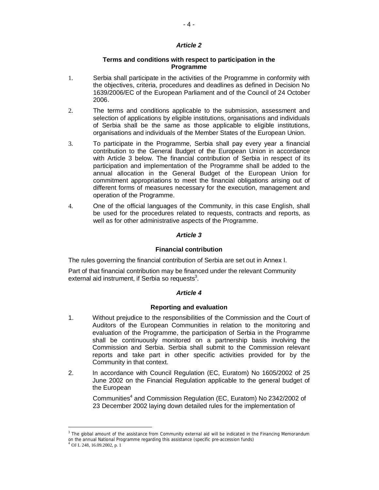### *Article 2*

### **Terms and conditions with respect to participation in the Programme**

- 1. Serbia shall participate in the activities of the Programme in conformity with the objectives, criteria, procedures and deadlines as defined in Decision No 1639/2006/EC of the European Parliament and of the Council of 24 October 2006.
- 2. The terms and conditions applicable to the submission, assessment and selection of applications by eligible institutions, organisations and individuals of Serbia shall be the same as those applicable to eligible institutions, organisations and individuals of the Member States of the European Union.
- 3. To participate in the Programme, Serbia shall pay every year a financial contribution to the General Budget of the European Union in accordance with Article 3 below. The financial contribution of Serbia in respect of its participation and implementation of the Programme shall be added to the annual allocation in the General Budget of the European Union for commitment appropriations to meet the financial obligations arising out of different forms of measures necessary for the execution, management and operation of the Programme.
- 4. One of the official languages of the Community, in this case English, shall be used for the procedures related to requests, contracts and reports, as well as for other administrative aspects of the Programme.

### *Article 3*

#### **Financial contribution**

The rules governing the financial contribution of Serbia are set out in Annex I.

Part of that financial contribution may be financed under the relevant Community external aid instrument, if Serbia so requests $3$ .

#### *Article 4*

#### **Reporting and evaluation**

- 1. Without prejudice to the responsibilities of the Commission and the Court of Auditors of the European Communities in relation to the monitoring and evaluation of the Programme, the participation of Serbia in the Programme shall be continuously monitored on a partnership basis involving the Commission and Serbia. Serbia shall submit to the Commission relevant reports and take part in other specific activities provided for by the Community in that context.
- 2. In accordance with Council Regulation (EC, Euratom) No 1605/2002 of 25 June 2002 on the Financial Regulation applicable to the general budget of the European

Communities<sup>4</sup> and Commission Regulation (EC, Euratom) No 2342/2002 of 23 December 2002 laying down detailed rules for the implementation of

<sup>&</sup>lt;sup>3</sup> The global amount of the assistance from Community external aid will be indicated in the Financing Memorandum on the annual National Programme regarding this assistance (specific pre-accession funds)

 $^4$  OJ L 248, 16.09.2002, p.  $1\,$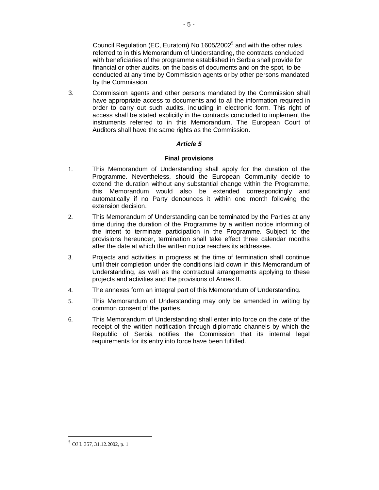Council Regulation (EC, Euratom) No 1605/2002<sup>5</sup> and with the other rules referred to in this Memorandum of Understanding, the contracts concluded with beneficiaries of the programme established in Serbia shall provide for financial or other audits, on the basis of documents and on the spot, to be conducted at any time by Commission agents or by other persons mandated by the Commission.

3. Commission agents and other persons mandated by the Commission shall have appropriate access to documents and to all the information required in order to carry out such audits, including in electronic form. This right of access shall be stated explicitly in the contracts concluded to implement the instruments referred to in this Memorandum. The European Court of Auditors shall have the same rights as the Commission.

# *Article 5*

# **Final provisions**

- 1. This Memorandum of Understanding shall apply for the duration of the Programme. Nevertheless, should the European Community decide to extend the duration without any substantial change within the Programme, this Memorandum would also be extended correspondingly and automatically if no Party denounces it within one month following the extension decision.
- 2. This Memorandum of Understanding can be terminated by the Parties at any time during the duration of the Programme by a written notice informing of the intent to terminate participation in the Programme. Subject to the provisions hereunder, termination shall take effect three calendar months after the date at which the written notice reaches its addressee.
- 3. Projects and activities in progress at the time of termination shall continue until their completion under the conditions laid down in this Memorandum of Understanding, as well as the contractual arrangements applying to these projects and activities and the provisions of Annex II.
- 4. The annexes form an integral part of this Memorandum of Understanding.
- 5. This Memorandum of Understanding may only be amended in writing by common consent of the parties.
- 6. This Memorandum of Understanding shall enter into force on the date of the receipt of the written notification through diplomatic channels by which the Republic of Serbia notifies the Commission that its internal legal requirements for its entry into force have been fulfilled.

<sup>5</sup> OJ L 357, 31.12.2002, p. 1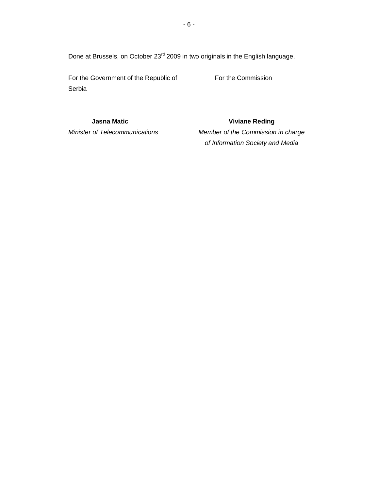Done at Brussels, on October 23<sup>rd</sup> 2009 in two originals in the English language.

For the Government of the Republic of For the Commission Serbia

**Jasna Matic Viviane Reding**

# *Minister of Telecommunications Member of the Commission in charge of Information Society and Media*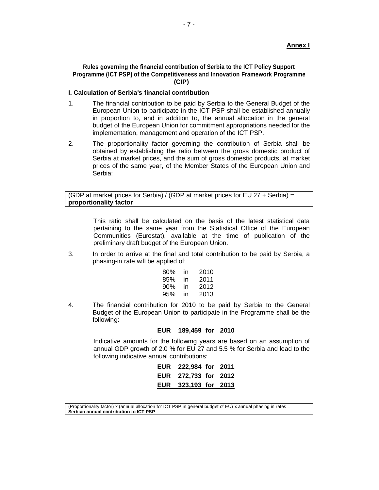# **Ⱥnnɟɯ I**

#### **Rules governing the financial contribution of Serbia to the ICT Policy Support Programme (ICT PSP) of the Competitiveness and Innovation Framework Programme (CIP)**

#### **I. Calculation of Serbia's financial contribution**

- 1. The financial contribution to be paid by Serbia to the General Budget of the European Union to participate in the ICT PSP shall be established annually in proportion to, and in addition to, the annual allocation in the general budget of the European Union for commitment appropriations needed for the implementation, management and operation of the ICT PSP.
- 2. The proportionality factor governing the contribution of Serbia shall be obtained by establishing the ratio between the gross domestic product of Serbia at market prices, and the sum of gross domestic products, at market prices of the same year, of the Member States of the European Union and Serbia:

(GDP at market prices for Serbia) / (GDP at market prices for EU 27 + Serbia) = **proportionality factor**

> This ratio shall be calculated on the basis of the latest statistical data pertaining to the same year from the Statistical Office of the European Communities (Eurostat), available at the time of publication of the preliminary draft budget of the European Union.

3. In order to arrive at the final and total contribution to be paid by Serbia, a phasing-in rate will be applied of:

| 80% | in | 2010 |
|-----|----|------|
| 85% | in | 2011 |
| 90% | in | 2012 |
| 95% | in | 2013 |

4. The financial contribution for 2010 to be paid by Serbia to the General Budget of the European Union to participate in the Programme shall be the following:

#### **EUR 189,459 for 2010**

Indicative amounts for the followmg years are based on an assumption of annual GDP growth of 2.0 % for EU 27 and 5.5 % for Serbia and lead to the following indicative annual contributions:

| <b>EUR</b> | 222,984 for 2011     |  |
|------------|----------------------|--|
|            | EUR 272.733 for 2012 |  |
|            | EUR 323,193 for 2013 |  |

<sup>(</sup>Proportionality factor) x (annual allocation for ICT PSP in general budget of EU) x annual phasing in rates = **Serbian annual contribution to ICT PSP**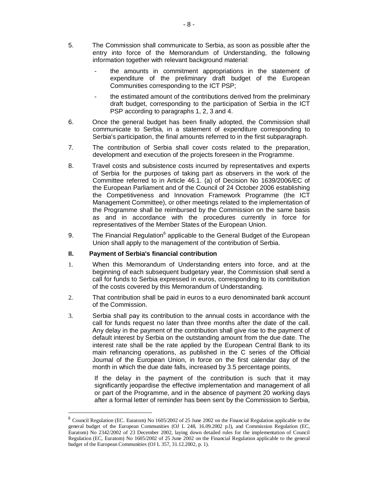- 5. The Commission shall communicate to Serbia, as soon as possible after the entry into force of the Memorandum of Understanding, the following information together with relevant background material:
	- the amounts in commitment appropriations in the statement of expenditure of the preliminary draft budget of the European Communities corresponding to the ICT PSP;
	- the estimated amount of the contributions derived from the preliminary draft budget, corresponding to the participation of Serbia in the ICT PSP according to paragraphs 1, 2, 3 and 4.
- 6. Once the general budget has been finally adopted, the Commission shall communicate to Serbia, in a statement of expenditure corresponding to Serbia's participation, the final amounts referred to in the first subparagraph.
- 7*.* The contribution of Serbia shall cover costs related to the preparation, development and execution of the projects foreseen in the Programme.
- 8. Travel costs and subsistence costs incurred by representatives and experts of Serbia for the purposes of taking part as observers in the work of the Committee referred to in Article 46.1. (a) of Decision No 1639/2006/EC of the European Parliament and of the Council of 24 October 2006 establishing the Competitiveness and Innovation Framework Programme (the ICT Management Committee), or other meetings related to the implementation of the Programme shall be reimbursed by the Commission on the same basis as and in accordance with the procedures currently in force for representatives of the Member States of the European Union.
- 9. The Financial Regulation<sup>6</sup> applicable to the General Budget of the European Union shall apply to the management of the contribution of Serbia.

#### **II. Payment of Serbia's financial contribution**

- 1. When this Memorandum of Understanding enters into force, and at the beginning of each subsequent budgetary year, the Commission shall send a call for funds to Serbia expressed in euros, corresponding to its contribution of the costs covered by this Memorandum of Understanding.
- 2. That contribution shall be paid in euros to a euro denominated bank account of the Commission.
- 3. Serbia shall pay its contribution to the annual costs in accordance with the call for funds request no later than three months after the date of the call. Any delay in the payment of the contribution shall give rise to the payment of default interest by Serbia on the outstanding amount from the due date. The interest rate shall be the rate applied by the European Central Bank to its main refinancing operations, as published in the C series of the Official Joumal of the European Union, in force on the first calendar day of the month in which the due date falls, increased by 3.5 percentage points,

If the delay in the payment of the contribution is such that it may significantly jeopardise the effective implementation and management of all or part of the Programme, and in the absence of payment 20 working days after a formal letter of reminder has been sent by the Commission to Serbia,

<sup>&</sup>lt;sup>6</sup> Council Regulation (EC. Euratom) No 1605/2002 of 25 June 2002 on the Financial Regulation applicable to the general budget of the European Communities (OJ L 248, 16.09.2002 p.l), and Commission Regulation (EC, Euratom) No 2342/2002 of 23 December 2002, laying down detailed rules for the implementation of Council Regulation (EC, Euratom) No 1605/2002 of 25 June 2002 on the Financial Regulation applicable to the general budget of the European Communities (OJ  $L$  357, 31.12.2002, p. 1).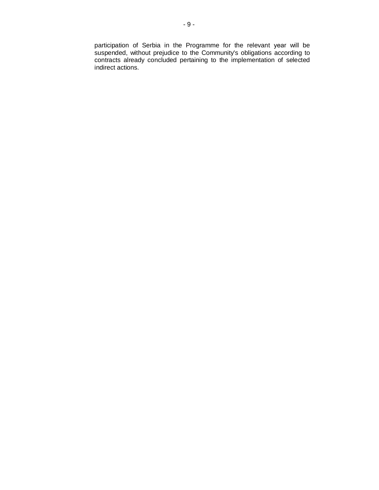participation of Serbia in the Programme for the relevant year will be suspended, without prejudice to the Community's obligations according to contracts already concluded pertaining to the implementation of selected indirect actions.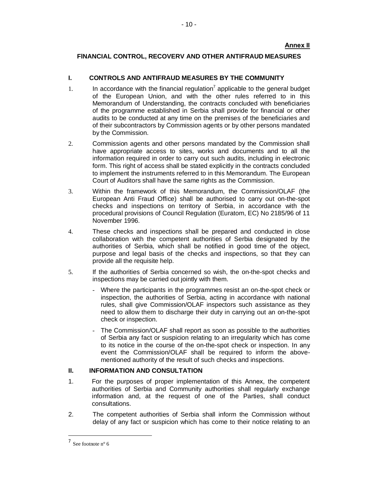# **Ⱥnnɟɯ II**

# **FlNANCIAL CONTROL, RECOVERV AND OTHER ANTIFRAUD MEASURES**

# **I. CONTROLS AND ANTIFRAUD MEASURES BY THE COMMUNITY**

- 1. In accordance with the financial regulation<sup>7</sup> applicable to the general budget of the European Union, and with the other rules referred to in this Memorandum of Understanding, the contracts concluded with beneficiaries of the programme established in Serbia shall provide for financial or other audits to be conducted at any time on the premises of the beneficiaries and of their subcontractors by Commission agents or by other persons mandated by the Commission.
- 2. Commission agents and other persons mandated by the Commission shall have appropriate access to sites, works and documents and to all the information required in order to carry out such audits, including in electronic form. This right of access shall be stated explicitly in the contracts concluded to implement the instruments referred to in this Memorandum. The European Court of Auditors shall have the same rights as the Commission.
- 3. Within the framework of this Memorandum, the Commission/OLAF (the European Anti Fraud Office) shall be authorised to carry out on-the-spot checks and inspections on territory of Serbia, in accordance with the procedural provisions of Council Regulation (Euratom, EC) No 2185/96 of 11 November 1996.
- 4. These checks and inspections shall be prepared and conducted in close collaboration with the competent authorities of Serbia designated by the authorities of Serbia, which shall be notified in good time of the object, purpose and legal basis of the checks and inspections, so that they can provide all the requisite help.
- 5. If the authorities of Serbia concerned so wish, the on-the-spot checks and inspections may be carried out jointly with them.
	- Where the participants in the programmes resist an on-the-spot check or inspection, the authorities of Serbia, acting in accordance with national rules, shall give Commission/OLAF inspectors such assistance as they need to allow them to discharge their duty in carrying out an on-the-spot check or inspection.
	- The Commission/OLAF shall report as soon as possible to the authorities of Serbia ɚɩɭ fact or suspicion relating to an irregularity which has come to its notice in the course of the on-the-spot check or inspection. In any event the Commission/OLAF shall be required to inform the abovementioned authority of the result of such checks and inspections.

#### **II. INFORMATION AND CONSULTATION**

- 1. For the purposes of proper implementation of this Annex, the competent authorities of Serbia and Community authorities shall regularly exchange information and, at the request of one of the Parties, shall conduct consultations.
- 2. The competent authorities of Serbia shall inform the Commission without delay of any fact or suspicion which has come to their notice relating to an

<sup>7</sup> See footnote n° 6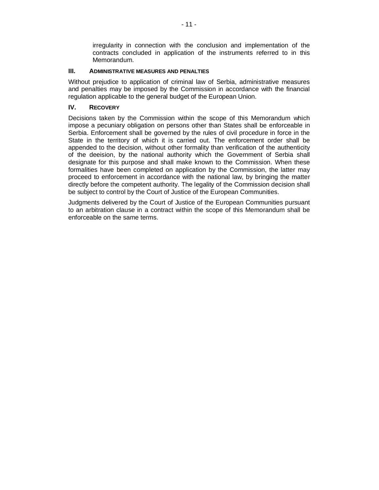irregularity in connection with the conclusion and implementation of the contracts concluded in application of the instruments referred to in this Memorandum.

#### **III. ADMINISTRATIVE MEASURES AND PENALTIES**

Without prejudice to application of criminal law of Serbia, administrative measures and penalties may be imposed by the Commission in accordance with the financial regulation applicable to the general budget of the European Union.

#### **IV. RECOVERY**

Decisions taken by the Commission within the scope of this Memorandum which impose a pecuniary obligation on persons other than States shall be enforceable in Serbia. Enforcement shall be governed by the rules of civil procedure in force in the State in the territory of which it is carried out. The enforcement order shall be appended to the decision, without other formality than verification of the authenticity of the deeision, by the national authority which the Government of Serbia shall designate for this purpose and shall make known to the Commission. When these formalities have been completed on application by the Commission, the latter may proceed to enforcement in accordance with the national law, by bringing the matter directly before the competent authority. The legality of the Commission decision shall be subject to control by the Court of Justice of the European Communities.

Judgments delivered by the Court of Justice of the European Communities pursuant to an arbitration clause in a contract within the scope of this Memorandum shall be enforceable on the same terms.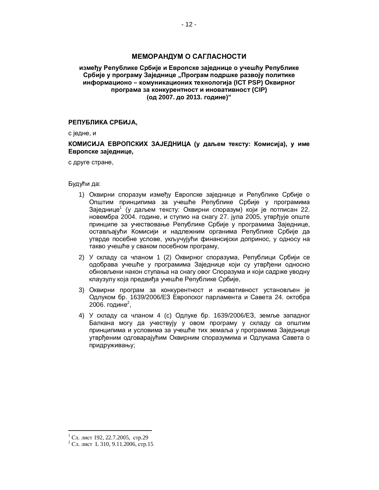### **МЕМОРАНДУМ О САГЛАСНОСТИ**

#### између Републике Србије и Европске заједнице о учешћу Републике Србије у програму Заједнице "Програм подршке развоју политике **ɢɧɮɨɪɦɚɰɢɨɧɨ – ɤɨɦɭɧɢɤɚɰɢɨɧɢɯɬɟɯɧɨɥɨɝɢʁɚ (ICT PSP) Ɉɤɜɢɪɧɨɝ** ПРОГРАМА ЗА КОНКУРЕНТНОСТ И ИНОВАТИВНОСТ (CIP)  $($ од 2007. до 2013. године)"

#### РЕПУБЛИКА СРБИЈА,

с једне, и

#### КОМИСИЈА ЕВРОПСКИХ ЗАЈЕДНИЦА (у даљем тексту: Комисија), у име Европске заједнице,

с друге стране,

Будући да:

- 1) Оквирни споразум између Европске заједнице и Републике Србије о Општим принципима за учешће Републике Србије у програмима Заједнице<sup>1</sup> (у даљем тексту: Оквирни споразум) који је потписан 22. новембра 2004. године, и ступио на снагу 27. јула 2005, утврђује опште принципе за учествовање Републике Србије у програмима Заједнице, остављајући Комисији и надлежним органима Републике Србије да утврде посебне услове, укључујући финансијски допринос, у односу на такво учешће у сваком посебном програму,
- 2) У складу са чланом 1 (2) Оквирног споразума, Републици Србији се одобрава учешће у програмима Заједнице који су утврђени односно обновљени након ступања на снагу овог Споразума и који садрже уводну клаузулу која предвића учешће Републике Србије,
- 3) Оквирни програм за конкурентност и иновативност установљен је Одлуком бр. 1639/2006/ЕЗ Европског парламента и Савета 24. октобра 2006. године<sup>2</sup>,
- 4) У складу са чланом 4 (с) Одлуке бр. 1639/2006/ЕЗ, земље западног Балкана могу да учествују у овом програму у складу са општим принципима и условима за учешће тих земаља у програмима Заједнице үтврђеним одговарајућим Оквирним споразумима и Одлукама Савета о придруживању;

 $<sup>1</sup>$  Сл. лист 192, 22.7.2005, стр.29</sup>

 $^{2}$  Сл. лист L 310, 9.11.2006, стр.15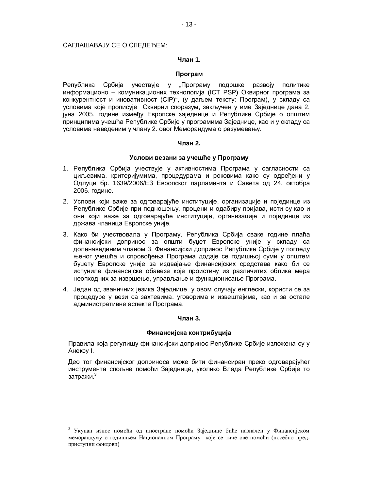#### САГЛАШАВАЈУ СЕ О СЛЕДЕЋЕМ:

#### **Чпан 1.**

#### **Програм**

Република Србија учествује у "Програму подршке развоју политике информационо – комуникационих технологија (ICT PSP) Оквирног програма за конкурентност и иновативност (CIP)", (у даљем тексту: Програм), у складу са условима које прописује Оквирни споразум, закључен у име Заједнице дана 2. јуна 2005. године између Европске заједнице и Републике Србије о општим принципима учешћа Републике Србије у програмима Заједнице, као и у складу са условима наведеним у члану 2. овог Меморандума о разумевању.

#### **Члан 2.**

#### Услови везани за учешће у Програму

- 1. Република Србија учествује у активностима Програма у сагласности са циљевима, критеријумима, процедурама и роковима како су одређени у Одлуци бр. 1639/2006/ЕЗ Европског парламента и Савета од 24. октобра 2006. године.
- 2. Услови који важе за одговарајуће институције, организације и појединце из Републике Србије при подношењу, процени и одабиру пријава, исти су као и они који важе за одговарајуће институције, организације и појединце из држава чланица Европске уније.
- 3. Како би учествовала у Програму, Република Србија сваке године плаћа финансијски допринос за општи буџет Европске уније у складу са доленаведеним чланом 3. Финансијски допринос Републике Србије у погледу њеног учешћа и спровођења Програма додаје се годишњој суми у општем буцету Европске уније за издвајање финансијских средстава како би се испуниле финансијске обавезе које проистичу из различитих облика мера неопходних за извршење, управљање и функционисање Програма.
- 4. Један од званичних језика Заједнице, у овом случају енглески, користи се за процедуре у вези са захтевима, уговорима и извештајима, као и за остале административне аспекте Програма.

#### **Члан 3.**

#### Финансијска контрибуција

Правила која регулишу финансијски допринос Републике Србије изложена су у Анексу I.

Део тог финансијског доприноса може бити финансиран преко одговарајућег инструмента спољне помоћи Заједнице, уколико Влада Републике Србије то затражи. $^3$ 

<sup>&</sup>lt;sup>3</sup> Укупан износ помоћи од иностране помоћи Заједнице биће назначен у Финансијском меморандуму о годишњем Националном Програму које се тиче ове помоћи (посебно предприступни фондови)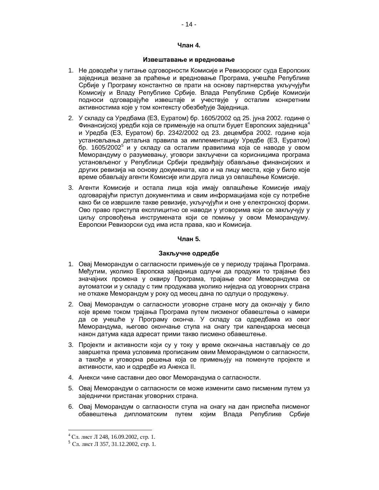#### **Члан 4.**

#### Извештавање и вредновање

- 1. Не доводећи у питање одговорности Комисије и Ревизорског суда Европских заједница везане за праћење и вредновање Програма, учешће Републике Србије у Програму константно се прати на основу партнерства укључујући Комисију и Владу Републике Србије. Влада Републике Србије Комисији подноси одговарајуће извештаје и учествује у осталим конкретним активностима које у том контексту обезбеђује Заједница.
- 2. У складу са Уредбама (ЕЗ, Еуратом) бр. 1605/2002 од 25. јуна 2002. године о Финансијској уредби која се примењује на општи буџет Европских заједница<sup>4</sup> и Уредба (ЕЗ, Еуратом) бр. 2342/2002 од 23. децембра 2002. године која vстановљања детаљна правила за имплементацију Уредбе (Е3, Еуратом)  $5$ р. 1605/2002<sup>5</sup> и у складу са осталим правилима која се наводе у овом Меморандуму о разумевању, уговори закључени са корисницима програма установљеног у Републици Србији предвиђају обављање финансијских и других ревизија на основу докумената, као и на лицу места, које у било које време обављају агенти Комисије или друга лица уз овлашћење Комисије.
- 3. Агенти Комисије и остала лица која имају овлашћење Комисије имају одговарајући приступ документима и свим информацијама које су потребне како би се извршиле такве ревизије, укључујући и оне у електронској форми. Ово право приступа експлицитно се наводи у уговорима који се закључују у циљу спровођења инструмената који се помињу у овом Меморандуму. Европски Ревизорски суд има иста права, као и Комисија.

#### **ɑɥɚɧ 5.**

#### Закључне одредбе

- 1. Овај Меморандум о сагласности примењује се у периоду трајања Програма. Међутим, уколико Европска заједница одлучи да продужи то трајање без значајних промена у оквиру Програма, трајање овог Меморандума се аутоматски и у складу с тим продужава уколико ниједна од уговорних страна не откаже Меморандум у року од месец дана по одлуци о продужењу.
- 2. Овај Меморандум о сагласности уговорне стране могу да окончају у било које време током трајања Програма путем писменог обавештења о намери да се учешће у Програму оконча. У складу са одредбама из овог Меморандума, његово окончање ступа на снагу три календарска месеца након датума када адресат прими такво писмено обавештење.
- 3. Пројекти и активности који су у току у време окончања настављају се до завршетка према условима прописаним овим Меморандумом о сагласности, а такође и уговорна решења која се примењују на поменуте пројекте и активности, као и одредбе из Анекса II.
- 4. Анекси чине саставни део овог Меморандума о сагласности.
- 5. Овај Меморандум о сагласности се може изменити само писменим путем уз заједнички пристанак уговорних страна.
- 6. Овај Меморандум о сагласности ступа на снагу на дан приспећа писменог обавештења дипломатским путем којим Влада Републике Србије

 $4$  Сл. лист Л 248, 16.09.2002, стр. 1.

 $5$  C<sub>II</sub>.  $\mu$ uct JI 357, 31.12.2002, c<sub>Tp.</sub> 1.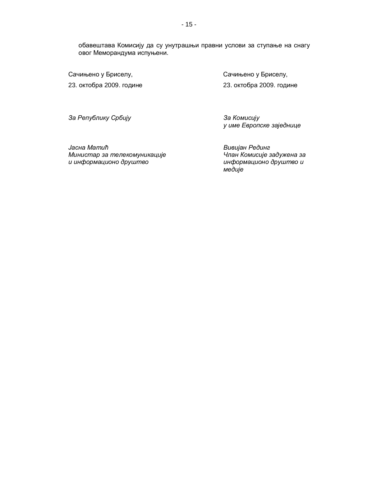обавештава Комисију да су унутрашњи правни услови за ступање на снагу овог Меморандума испуњени.

Сачињено у Бриселу, и и в фотоматиче с сачињено у Бриселу,

23. октобра 2009. године 23. октобра 2009. године

За Републику Србију **и провета и тема и тема за Комисију** 

y име Европске заједнице

Jacнa Mamuħ **Министар за телекомуникације** u информационо друштво

**Вивијан Рединг Члан Комисије задужена за** uнформационо друштво и *медије*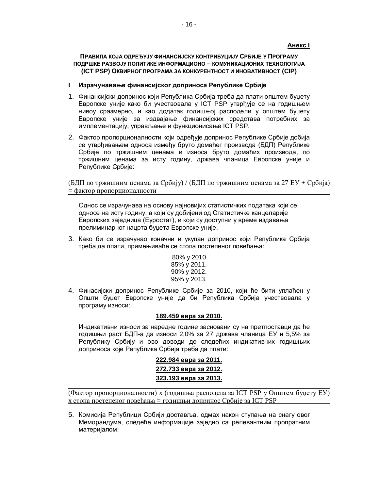### **Ⱥɧɟɤɫ I**

ПРАВИЛА КОЈА ОДРЕЂУЈУ ФИНАНСИЈСКУ КОНТРИБУЦИЈУ СРБИЈЕ У ПРОГРАМУ ПОДРШКЕ РАЗВОЈУ ПОЛИТИКЕ ИНФОРМАЦИОНО - КОМУНИКАЦИОНИХ ТЕХНОЛОГИЈА **(ICT PSP) ɈɄȼɂɊɇɈȽɉɊɈȽɊȺɆȺɁȺɄɈɇɄɍɊȿɇɌɇɈɋɌɂɂɇɈȼȺɌɂȼɇɈɋɌ (CIP)**

- **I** Израчунавање финансијског доприноса Републике Србије
- 1. Финансијски допринос који Република Србија треба да плати општем буџету Европске уније како би учествовала у ICT PSP утврђује се на годишњем нивоу сразмерно, и као додатак годишњој расподели у општем буџету Европске уније за издвајање финансијских средстава потребних за имплементацију, управљање и функционисање ICT PSP.
- 2. Фактор пропорционалности који одређује допринос Републике Србије добија се утврђивањем односа између бруто домаћег производа (БДП) Републике Србије по тржишним ценама и износа бруто домаћих производа, по тржишним ценама за исту годину, држава чланица Европске уније и Републике Србије:

(БДП по тржишним ценама за Србију) / (БДП по тржишним ценама за 27 ЕУ + Србија)  $\models$  фактор пропорционалности

Однос се израчунава на основу најновијих статистичких података који се односе на исту годину, а који су добијени од Статистичке канцеларије Европских заједница (Еуростат), и који су доступни у време издавања прелиминарног нацрта буџета Европске уније.

- 3. Како би се израчунао коначни и укупан допринос који Република Србија треба да плати, примењиваће се стопа постепеног повећања:
	- 80% ɭ 2010. 85% y 2011. 90% y 2012. 95% ɭ 2013.
- 4. Финасијски допринос Републике Србије за 2010, који ће бити уплаћен у Општи буџет Европске уније да би Република Србија учествовала у програму износи:

# **189.459 евра за 2010.**

Индикативни износи за наредне године засновани су на претпоставци да ће годишњи раст БДП-а да износи 2,0% за 27 држава чланица ЕУ и 5,5% за Републику Србију и ово доводи до следећих индикативних годишњих доприноса које Република Србија треба да плати:

> **222.984 евра за 2011. 272.733 евра за 2012. 323.193 евра за 2013.**

(Фактор пропорционалности) x (годишња расподела за ICT PSP у Општем буџету EУ)  $x$  стопа постепеног повећања = голишњи лопринос Србије за ICT PSP

5. Комисија Републици Србији доставља, одмах након ступања на снагу овог Меморандума, следеће информације заједно са релевантним пропратним материјалом: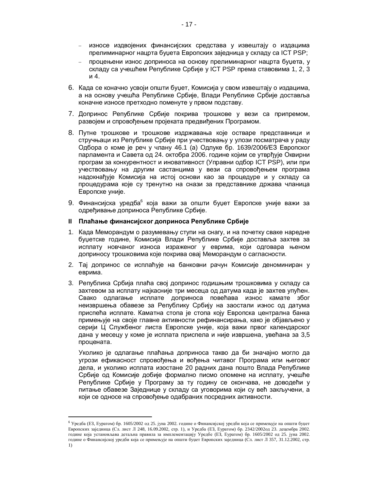- износе издвојених финансијских средстава у извештају о издацима прелиминарног нацрта буџета Европских заједница у складу са ICT PSP;
- процењени износ доприноса на основу прелиминарног нацрта буџета, у складу са учешћем Републике Србије у ICT PSP према ставовима 1, 2, 3 и 4.
- 6. Када се коначно усвоји општи буџет, Комисија у свом извештају о издацима, а на основу учешћа Републике Србије, Влади Републике Србије доставља коначне износе претходно поменуте у првом подставу.
- 7. Допринос Републике Србије покрива трошкове у вези са припремом, развојем и спровођењем пројеката предвиђених Програмом.
- 8. Путне трошкове и трошкове издржавања које остваре представници и стручњаци из Републике Србије при учествовању у улози посматрача у раду Одбора о коме је реч у члану 46.1 (а) Одлуке бр. 1639/2006/ЕЗ Европског парламента и Савета од 24. октобра 2006. године којим се утврђује Оквирни програм за конкурентност и иновативност (Управни одбор ICT PSP), или при учествовању на другим састанцима у вези са спровођењем програма надокнађује Комисија на истој основи као за процедуре и у складу са процедурама које су тренутно на снази за представнике држава чланица Европске уније.
- 9. Финансијска уредба<sup>6</sup> која важи за општи буџет Европске уније важи за одређивање доприноса Републике Србије.

#### **II** Плаћање финансијског доприноса Републике Србије

- 1. Када Меморандум о разумевању ступи на снагу, и на почетку сваке наредне буџетске године, Комисија Влади Републике Србије доставља захтев за исплату новчаног износа израженог у еврима, који одговара њеном доприносу трошковима које покрива овај Меморандум о сагласности.
- 2. Тај допринос се исплаћује на банковни рачун Комисије деноминиран у еврима.
- 3. Република Србија плаћа свој допринос годишњим трошковима у складу са захтевом за исплату најкасније три месеца од датума када је захтев упућен. Свако одлагање исплате доприноса повећава износ камате због неизвршења обавезе за Републику Србију на заостали износ од датума приспећа исплате. Каматна стопа је стопа коју Европска централна банка примењује на своје главне активности рефинансирања, како је објављено у серији Ц Службеног листа Европске уније, која важи првог календарског дана у месецу у коме је исплата приспела и није извршена, увећана за 3,5 процената.

Уколико је одлагање плаћања доприноса такво да би значајно могло да угрози ефикасност спровођења и вођења читавог Програма или његовог дела, и уколико исплата изостане 20 радних дана пошто Влада Републике Србије од Комисије добије формално писмо опомене на исплату, учешће Републике Србије у Програму за ту годину се окончава, не доводећи у питање обавезе Заједнице у складу са уговорима који су већ закључени, а који се односе на спровођење одабраних посредних активности.

<sup>&</sup>lt;sup>6</sup> Уредба (ЕЗ, Еуратом) бр. 1605/2002 од 25. јуна 2002. године о Финансијској уредби која се примењује на општи буџет Европских заједница (Сл. лист Л 248, 16.09.2002, стр. 1), и Уредба (ЕЗ, Еуратом) бр. 2342/2002од 23. децембра 2002. године која установљава детаљна правила за имплементацију Уредбе (ЕЗ, Еуратом) бр. 1605/2002 од 25. јуна 2002. године о Финансијској уредби која се примењује на општи буџет Европских заједница (Сл. лист Л 357, 31.12.2002, стр. 1)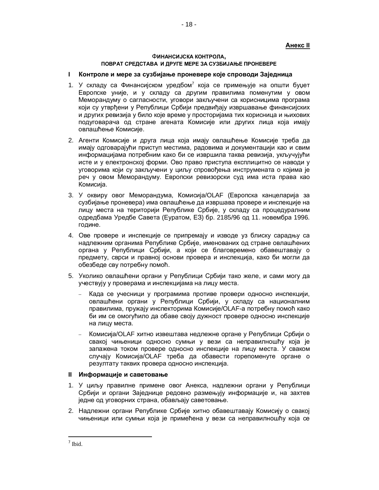# **Ⱥɧɟɤɫ II**

#### Ɏ**ɂɇȺɇɋɂȳɋɄȺɄɈɇɌɊɈɅȺ,** ПОВРАТ СРЕДСТАВА И ДРУГЕ МЕРЕ ЗА СУЗБИЈАЊЕ ПРОНЕВЕРЕ

#### **I** Контроле и мере за сузбијање проневере које спроводи Заједница

- 1. У складу са Финансијском уредбом<sup>7</sup> која се примењује на општи буџет Европске уније, и у складу са другим правилима поменутим у овом Меморандуму о сагласности, уговори закључени са корисницима програма који су утврђени у Републици Србији предвиђају извршавање финансијских и других ревизија у било које време у просторијама тих корисница и њихових подуговарача од стране агената Комисије или других лица која имају овлашћење Комисије.
- 2. Агенти Комисије и друга лица која имају овлашћење Комисије треба да имају одговарајући приступ местима, радовима и документацији као и свим информацијама потребним како би се извршила таква ревизија, укључујући исте и у електронској форми. Ово право приступа експлицитно се наводи у уговорима који су закључени у циљу спровођења инструмената о којима је реч у овом Меморандуму. Европски ревизорски суд има иста права као Комисија.
- 3. У оквиру овог Меморандума, Комисија/OLAF (Европска канцеларија за сузбијање проневера) има овлашћење да извршава провере и инспекције на лицу места на територији Републике Србије, у складу са процедуралним одредбама Уредбе Савета (Еуратом, Е3) бр. 2185/96 од 11. новембра 1996. године.
- 4. Ове провере и инспекције се припремају и изводе уз блиску сарадњу са надлежним органима Републике Србије, именованих од стране овлашћених органа у Републици Србији, а који се благовремено обавештавају о предмету, сврси и правној основи провера и инспекција, како би могли да обезбеде сву потребну помоћ.
- 5. Уколико овлашћени органи у Републици Србији тако желе, и сами могу да учествују у проверама и инспекцијама на лицу места.
	- Када се учесници у програмима противе провери односно инспекцији, овлашћени органи у Републици Србији, у складу са националним правилима, пружају инспекторима Комисије/OLAF-а потребну помоћ како би им се омогућило да обаве своју дужност провере односно инспекције на лицу места.
	- Комисија/OLAF хитно извештава недлежне органе у Републици Србији о свакој чињеници односно сумњи у вези са неправилношћу која је запажена током провере односно инспекције на лицу места. У сваком случају Комисија/OLAF треба да обавести горепоменуте органе о резултату таквих провера односно инспекција.

#### **II** Информације и саветовање

- 1. У циљу правилне примене овог Анекса, надлежни органи у Републици Србији и органи Заједнице редовно размењују информације и, на захтев іедне од уговорних страна, обављају саветовање.
- 2. Надлежни органи Републике Србије хитно обавештавају Комисију о свакој чињеници или сумњи која је примећена у вези са неправилношћу која се

<sup>7</sup> Ibid.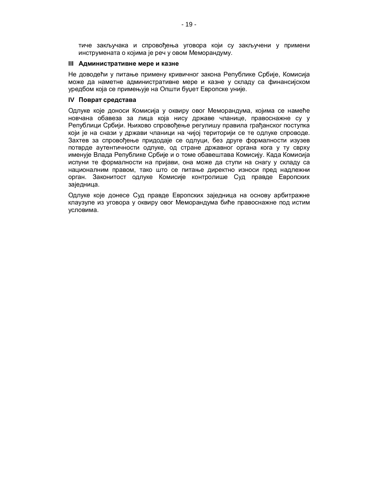тиче закључака и спровођења уговора који су закључени у примени инструмената о којима је реч у овом Меморандуму.

#### **III Административне мере и казне**

Не доводећи у питање примену кривичног закона Републике Србије, Комисија може да наметне административне мере и казне у складу са финансијском уредбом која се примењује на Општи буџет Европске уније.

#### **IV** Поврат средстава

Одлуке које доноси Комисија у оквиру овог Меморандума, којима се намеће новчана обавеза за лица која нису државе чланице, правоснажне су у Републици Србији. Њихово спровођење регулишу правила грађанског поступка који је на снази у држави чланици на чијој територији се те одлуке спроводе. Захтев за спровођење придодаје се одлуци, без друге формалности изузев потврде аутентичности одлуке, од стране државног органа кога у ту сврху именује Влада Републике Србије и о томе обавештава Комисију. Када Комисија испуни те формалности на пријави, она може да ступи на снагу у складу са националним правом, тако што се питање директно износи пред надлежни орган. Законитост одлуке Комисије контролише Суд правде Европских заједница.

Одлуке које донесе Суд правде Европских заједница на основу арбитражне клаузуле из уговора у оквиру овог Меморандума биће правоснажне под истим үсловима.